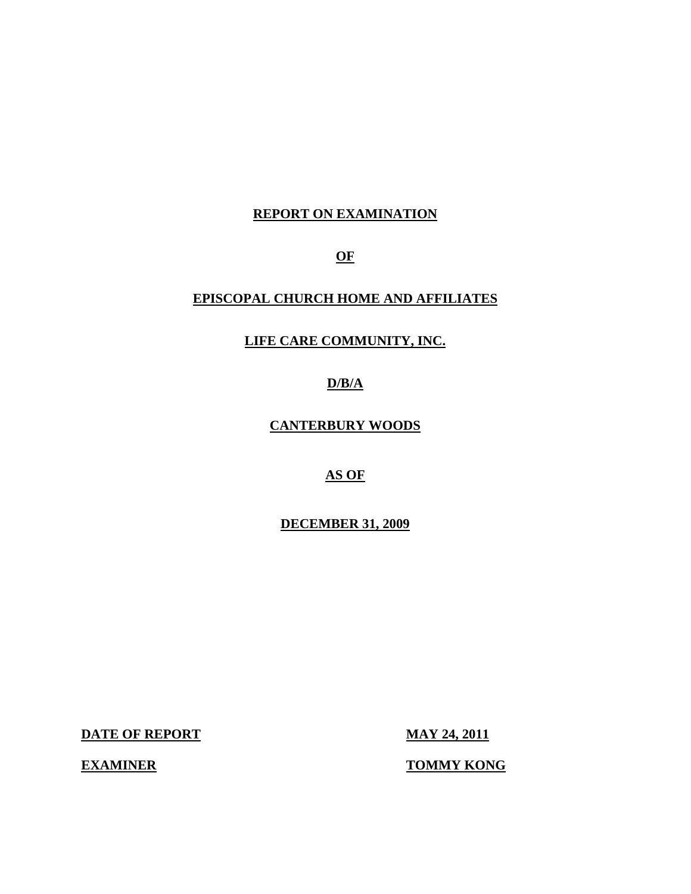## **REPORT ON EXAMINATION**

**OF** 

## **EPISCOPAL CHURCH HOME AND AFFILIATES**

## **LIFE CARE COMMUNITY, INC.**

**D/B/A** 

**CANTERBURY WOODS** 

**AS OF** 

**DECEMBER 31, 2009** 

**DATE OF REPORT MAY 24, 2011** 

**EXAMINER TOMMY KONG**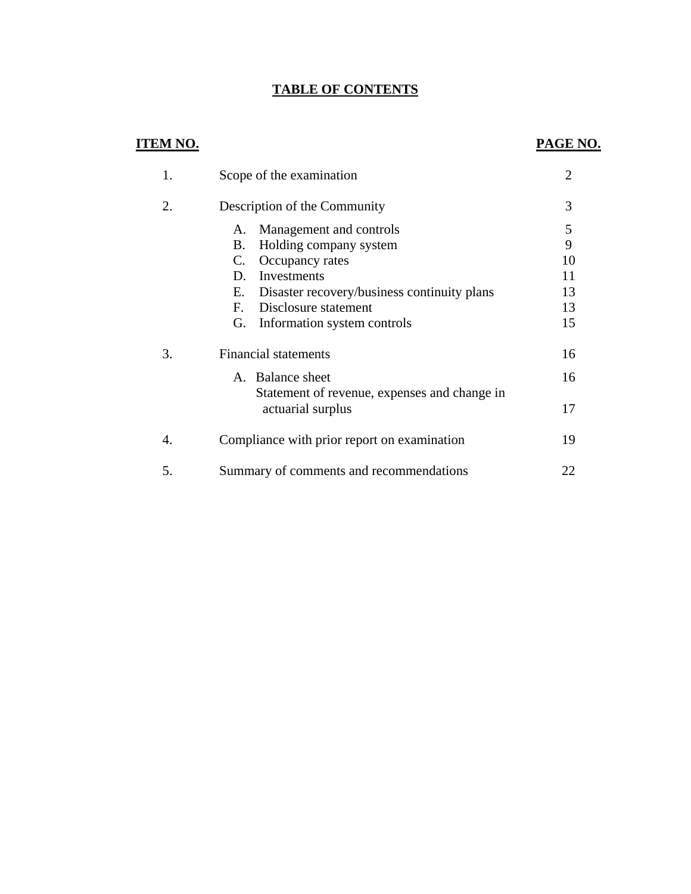## **TABLE OF CONTENTS**

## **ITEM NO.**

# **PAGE NO.**

| 1. | Scope of the examination                                                                                                                                                                                                                     | $\overline{2}$                       |
|----|----------------------------------------------------------------------------------------------------------------------------------------------------------------------------------------------------------------------------------------------|--------------------------------------|
| 2. | Description of the Community                                                                                                                                                                                                                 | 3                                    |
|    | Management and controls<br>А.<br>Holding company system<br>В.<br>Occupancy rates<br>C.<br>Investments<br>D.<br>Disaster recovery/business continuity plans<br>Е.<br>Disclosure statement<br>$F_{\cdot}$<br>Information system controls<br>G. | 5<br>9<br>10<br>11<br>13<br>13<br>15 |
| 3. | <b>Financial statements</b>                                                                                                                                                                                                                  | 16                                   |
|    | A. Balance sheet<br>Statement of revenue, expenses and change in<br>actuarial surplus                                                                                                                                                        | 16<br>17                             |
| 4. | Compliance with prior report on examination                                                                                                                                                                                                  | 19                                   |
| 5. | Summary of comments and recommendations                                                                                                                                                                                                      | 22                                   |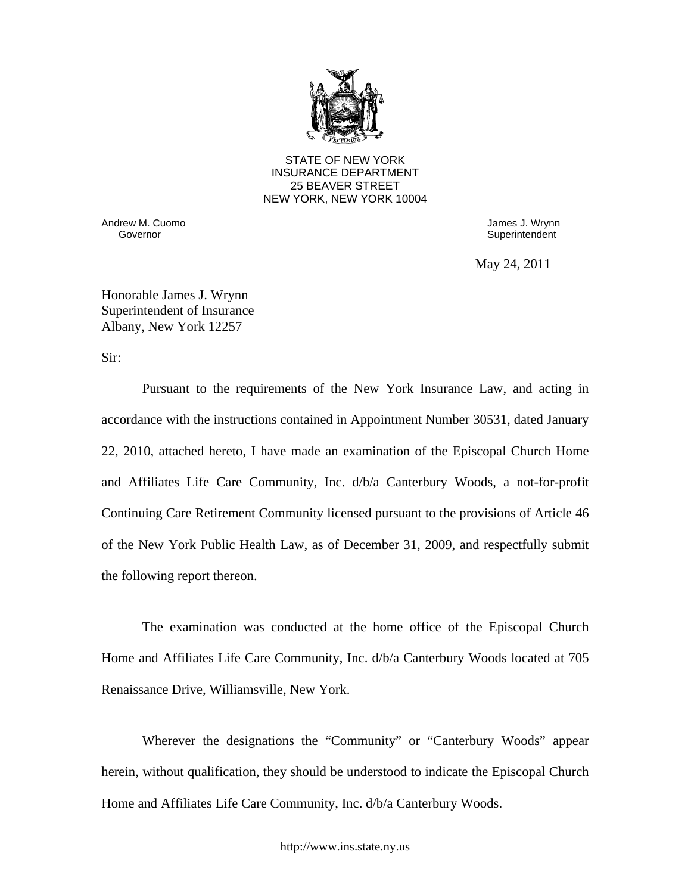

STATE OF NEW YORK INSURANCE DEPARTMENT 25 BEAVER STREET NEW YORK, NEW YORK 10004

Andrew M. Cuomo **James J. Wrynn** 

Governor **Governor** Superintendent **Superintendent** 

May 24, 2011

Honorable James J. Wrynn Superintendent of Insurance Albany, New York 12257

Sir:

Pursuant to the requirements of the New York Insurance Law, and acting in accordance with the instructions contained in Appointment Number 30531, dated January 22, 2010, attached hereto, I have made an examination of the Episcopal Church Home and Affiliates Life Care Community, Inc. d/b/a Canterbury Woods, a not-for-profit Continuing Care Retirement Community licensed pursuant to the provisions of Article 46 of the New York Public Health Law, as of December 31, 2009, and respectfully submit the following report thereon.

The examination was conducted at the home office of the Episcopal Church Home and Affiliates Life Care Community, Inc. d/b/a Canterbury Woods located at 705 Renaissance Drive, Williamsville, New York.

Wherever the designations the "Community" or "Canterbury Woods" appear herein, without qualification, they should be understood to indicate the Episcopal Church Home and Affiliates Life Care Community, Inc. d/b/a Canterbury Woods.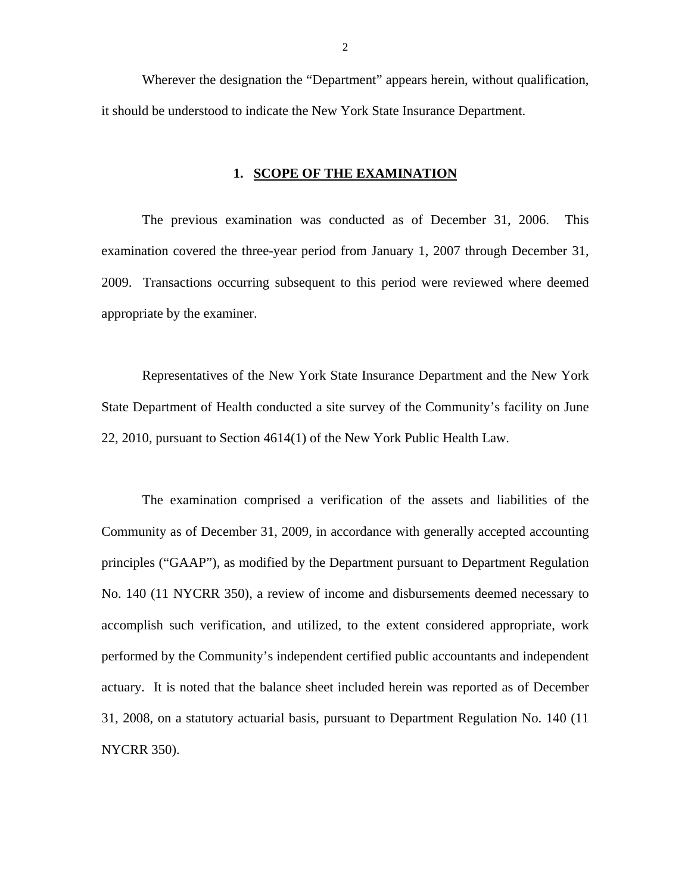Wherever the designation the "Department" appears herein, without qualification, it should be understood to indicate the New York State Insurance Department.

#### **1. SCOPE OF THE EXAMINATION**

The previous examination was conducted as of December 31, 2006. This examination covered the three-year period from January 1, 2007 through December 31, 2009. Transactions occurring subsequent to this period were reviewed where deemed appropriate by the examiner.

Representatives of the New York State Insurance Department and the New York State Department of Health conducted a site survey of the Community's facility on June 22, 2010, pursuant to Section 4614(1) of the New York Public Health Law.

The examination comprised a verification of the assets and liabilities of the Community as of December 31, 2009, in accordance with generally accepted accounting principles ("GAAP"), as modified by the Department pursuant to Department Regulation No. 140 (11 NYCRR 350), a review of income and disbursements deemed necessary to accomplish such verification, and utilized, to the extent considered appropriate, work performed by the Community's independent certified public accountants and independent actuary. It is noted that the balance sheet included herein was reported as of December 31, 2008, on a statutory actuarial basis, pursuant to Department Regulation No. 140 (11 NYCRR 350).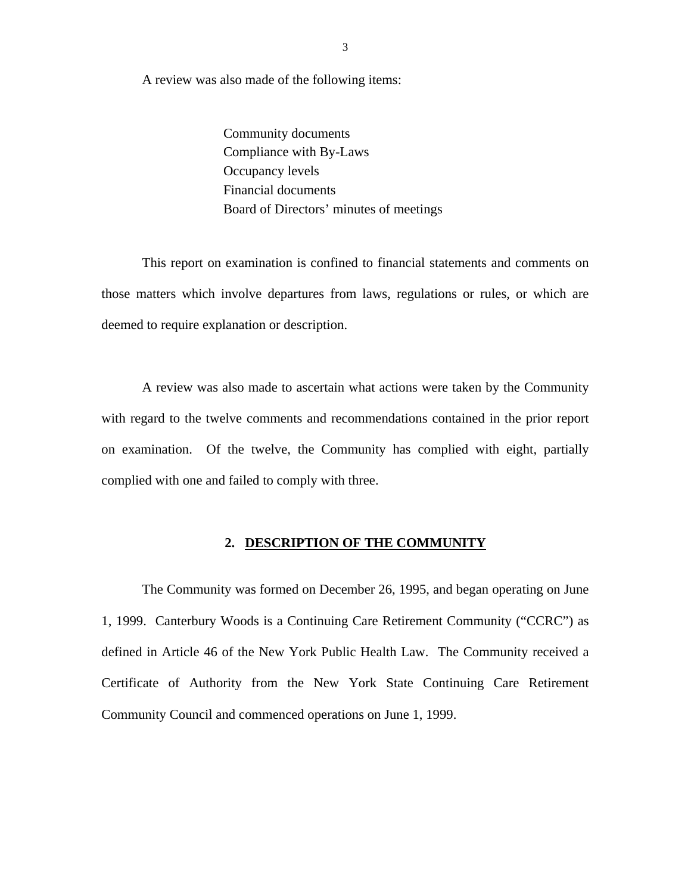A review was also made of the following items:

Community documents Compliance with By-Laws Occupancy levels Financial documents Board of Directors' minutes of meetings

This report on examination is confined to financial statements and comments on those matters which involve departures from laws, regulations or rules, or which are deemed to require explanation or description.

A review was also made to ascertain what actions were taken by the Community with regard to the twelve comments and recommendations contained in the prior report on examination. Of the twelve, the Community has complied with eight, partially complied with one and failed to comply with three.

#### **2. DESCRIPTION OF THE COMMUNITY**

The Community was formed on December 26, 1995, and began operating on June 1, 1999. Canterbury Woods is a Continuing Care Retirement Community ("CCRC") as defined in Article 46 of the New York Public Health Law. The Community received a Certificate of Authority from the New York State Continuing Care Retirement Community Council and commenced operations on June 1, 1999.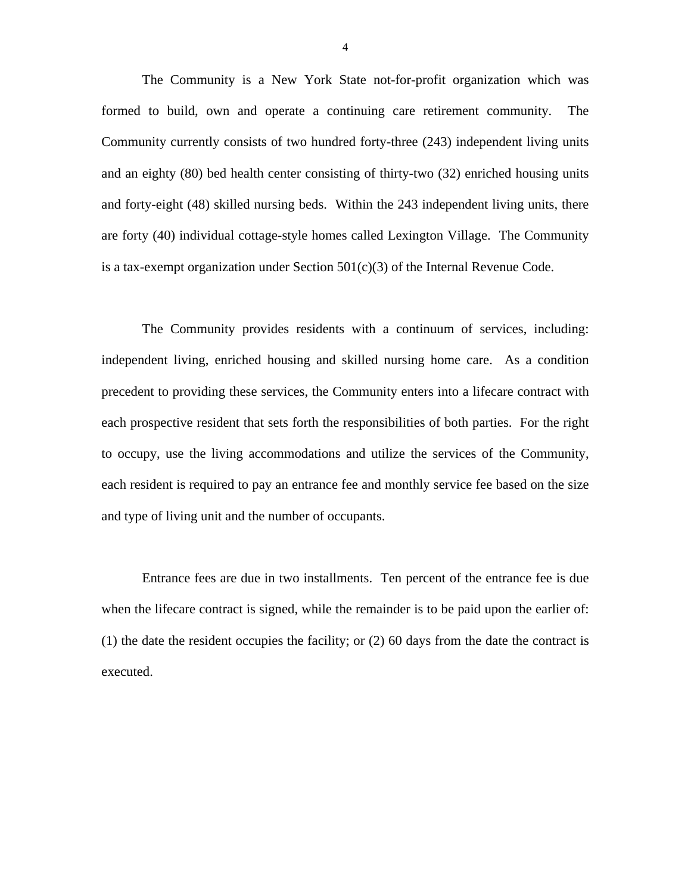The Community is a New York State not-for-profit organization which was formed to build, own and operate a continuing care retirement community. The Community currently consists of two hundred forty-three (243) independent living units and an eighty (80) bed health center consisting of thirty-two (32) enriched housing units and forty-eight (48) skilled nursing beds. Within the 243 independent living units, there are forty (40) individual cottage-style homes called Lexington Village. The Community is a tax-exempt organization under Section  $501(c)(3)$  of the Internal Revenue Code.

The Community provides residents with a continuum of services, including: independent living, enriched housing and skilled nursing home care. As a condition precedent to providing these services, the Community enters into a lifecare contract with each prospective resident that sets forth the responsibilities of both parties. For the right to occupy, use the living accommodations and utilize the services of the Community, each resident is required to pay an entrance fee and monthly service fee based on the size and type of living unit and the number of occupants.

Entrance fees are due in two installments. Ten percent of the entrance fee is due when the lifecare contract is signed, while the remainder is to be paid upon the earlier of: (1) the date the resident occupies the facility; or (2) 60 days from the date the contract is executed.

4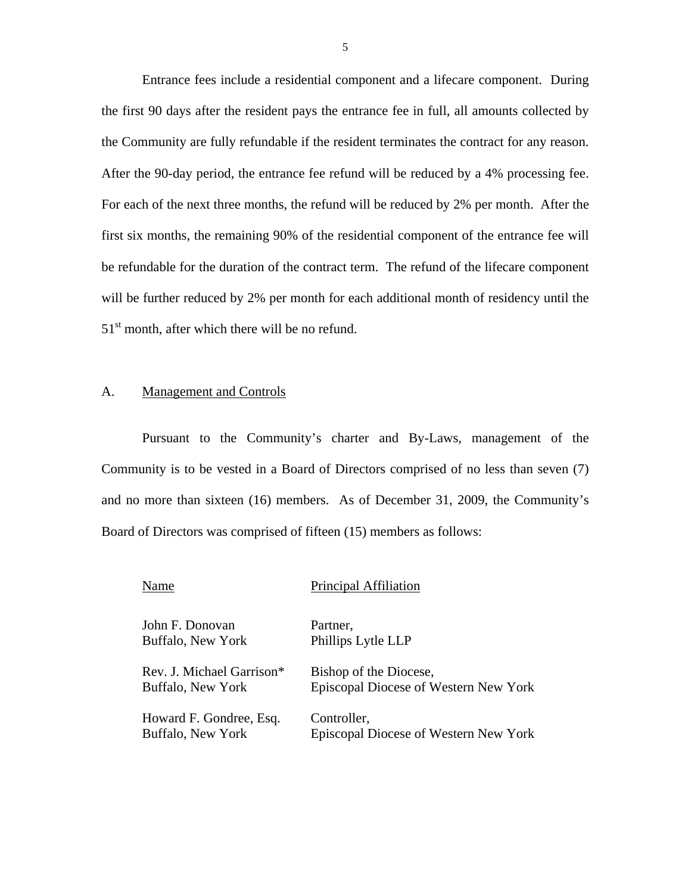Entrance fees include a residential component and a lifecare component. During the first 90 days after the resident pays the entrance fee in full, all amounts collected by the Community are fully refundable if the resident terminates the contract for any reason. After the 90-day period, the entrance fee refund will be reduced by a 4% processing fee. For each of the next three months, the refund will be reduced by 2% per month. After the first six months, the remaining 90% of the residential component of the entrance fee will be refundable for the duration of the contract term. The refund of the lifecare component will be further reduced by 2% per month for each additional month of residency until the  $51<sup>st</sup>$  month, after which there will be no refund.

### A. Management and Controls

Pursuant to the Community's charter and By-Laws, management of the Community is to be vested in a Board of Directors comprised of no less than seven (7) and no more than sixteen (16) members. As of December 31, 2009, the Community's Board of Directors was comprised of fifteen (15) members as follows:

| Name                      | Principal Affiliation                 |
|---------------------------|---------------------------------------|
| John F. Donovan           | Partner.                              |
| Buffalo, New York         | Phillips Lytle LLP                    |
| Rev. J. Michael Garrison* | Bishop of the Diocese,                |
| Buffalo, New York         | Episcopal Diocese of Western New York |
| Howard F. Gondree, Esq.   | Controller,                           |
| Buffalo, New York         | Episcopal Diocese of Western New York |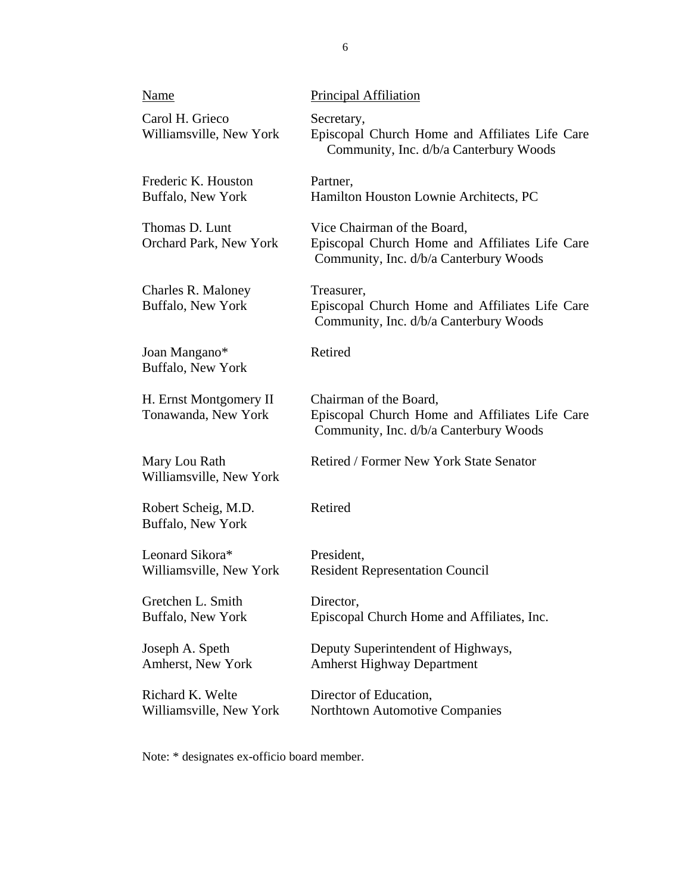| Name                                          | <b>Principal Affiliation</b>                                                                                            |
|-----------------------------------------------|-------------------------------------------------------------------------------------------------------------------------|
| Carol H. Grieco<br>Williamsville, New York    | Secretary,<br>Episcopal Church Home and Affiliates Life Care<br>Community, Inc. d/b/a Canterbury Woods                  |
| Frederic K. Houston<br>Buffalo, New York      | Partner,<br>Hamilton Houston Lownie Architects, PC                                                                      |
| Thomas D. Lunt<br>Orchard Park, New York      | Vice Chairman of the Board,<br>Episcopal Church Home and Affiliates Life Care<br>Community, Inc. d/b/a Canterbury Woods |
| Charles R. Maloney<br>Buffalo, New York       | Treasurer,<br>Episcopal Church Home and Affiliates Life Care<br>Community, Inc. d/b/a Canterbury Woods                  |
| Joan Mangano*<br>Buffalo, New York            | Retired                                                                                                                 |
| H. Ernst Montgomery II<br>Tonawanda, New York | Chairman of the Board,<br>Episcopal Church Home and Affiliates Life Care<br>Community, Inc. d/b/a Canterbury Woods      |
| Mary Lou Rath<br>Williamsville, New York      | Retired / Former New York State Senator                                                                                 |
| Robert Scheig, M.D.<br>Buffalo, New York      | Retired                                                                                                                 |
| Leonard Sikora*<br>Williamsville, New York    | President,<br><b>Resident Representation Council</b>                                                                    |
| Gretchen L. Smith<br>Buffalo, New York        | Director,<br>Episcopal Church Home and Affiliates, Inc.                                                                 |
| Joseph A. Speth<br>Amherst, New York          | Deputy Superintendent of Highways,<br><b>Amherst Highway Department</b>                                                 |
| Richard K. Welte<br>Williamsville, New York   | Director of Education,<br><b>Northtown Automotive Companies</b>                                                         |

Note: \* designates ex-officio board member.

6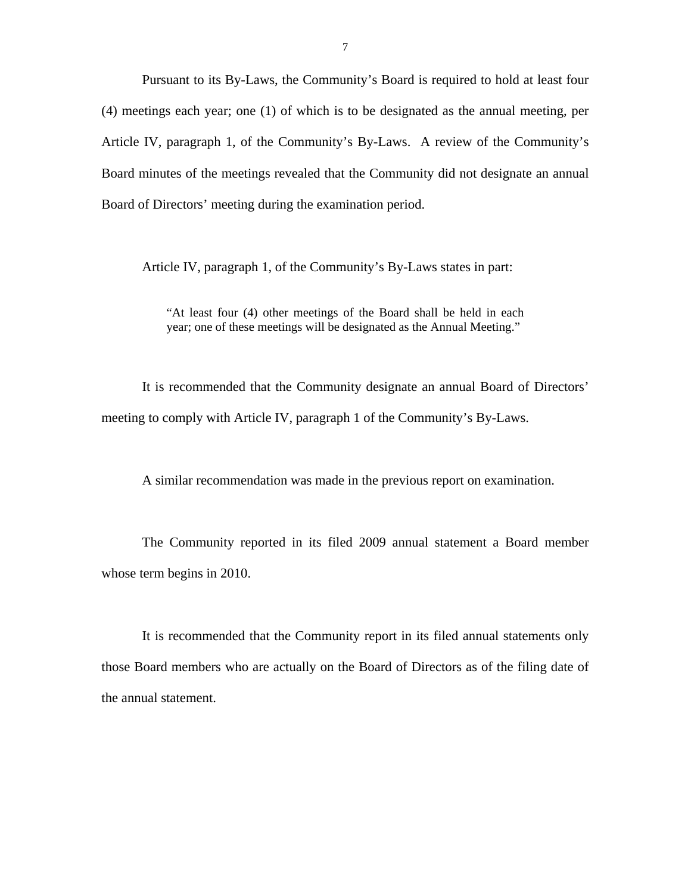Pursuant to its By-Laws, the Community's Board is required to hold at least four (4) meetings each year; one (1) of which is to be designated as the annual meeting, per Article IV, paragraph 1, of the Community's By-Laws. A review of the Community's Board minutes of the meetings revealed that the Community did not designate an annual Board of Directors' meeting during the examination period.

Article IV, paragraph 1, of the Community's By-Laws states in part:

"At least four (4) other meetings of the Board shall be held in each year; one of these meetings will be designated as the Annual Meeting."

It is recommended that the Community designate an annual Board of Directors' meeting to comply with Article IV, paragraph 1 of the Community's By-Laws.

A similar recommendation was made in the previous report on examination.

The Community reported in its filed 2009 annual statement a Board member whose term begins in 2010.

It is recommended that the Community report in its filed annual statements only those Board members who are actually on the Board of Directors as of the filing date of the annual statement.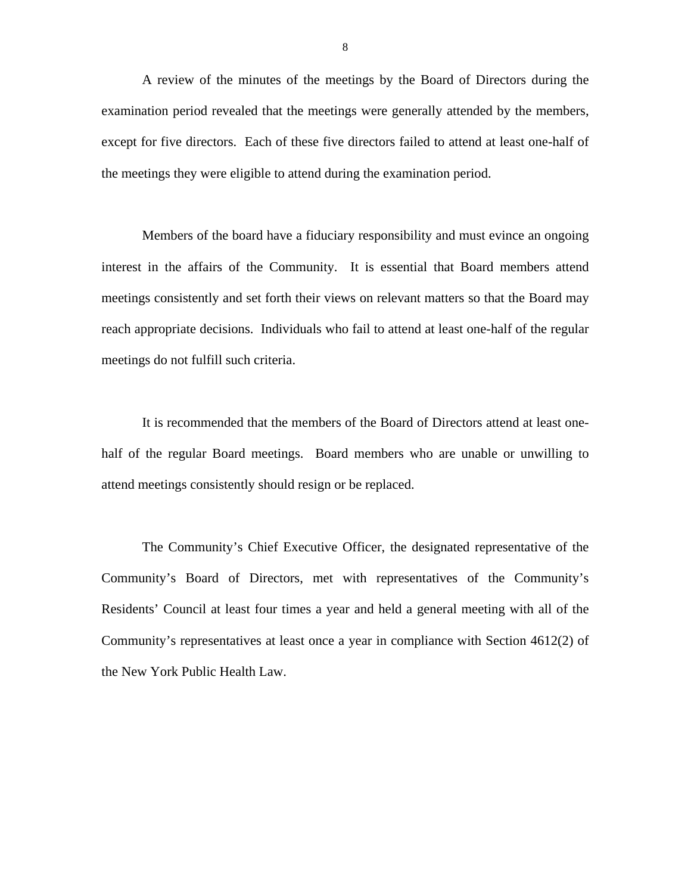A review of the minutes of the meetings by the Board of Directors during the examination period revealed that the meetings were generally attended by the members, except for five directors. Each of these five directors failed to attend at least one-half of the meetings they were eligible to attend during the examination period.

Members of the board have a fiduciary responsibility and must evince an ongoing interest in the affairs of the Community. It is essential that Board members attend meetings consistently and set forth their views on relevant matters so that the Board may reach appropriate decisions. Individuals who fail to attend at least one-half of the regular meetings do not fulfill such criteria.

It is recommended that the members of the Board of Directors attend at least onehalf of the regular Board meetings. Board members who are unable or unwilling to attend meetings consistently should resign or be replaced.

The Community's Chief Executive Officer, the designated representative of the Community's Board of Directors, met with representatives of the Community's Residents' Council at least four times a year and held a general meeting with all of the Community's representatives at least once a year in compliance with Section 4612(2) of the New York Public Health Law.

8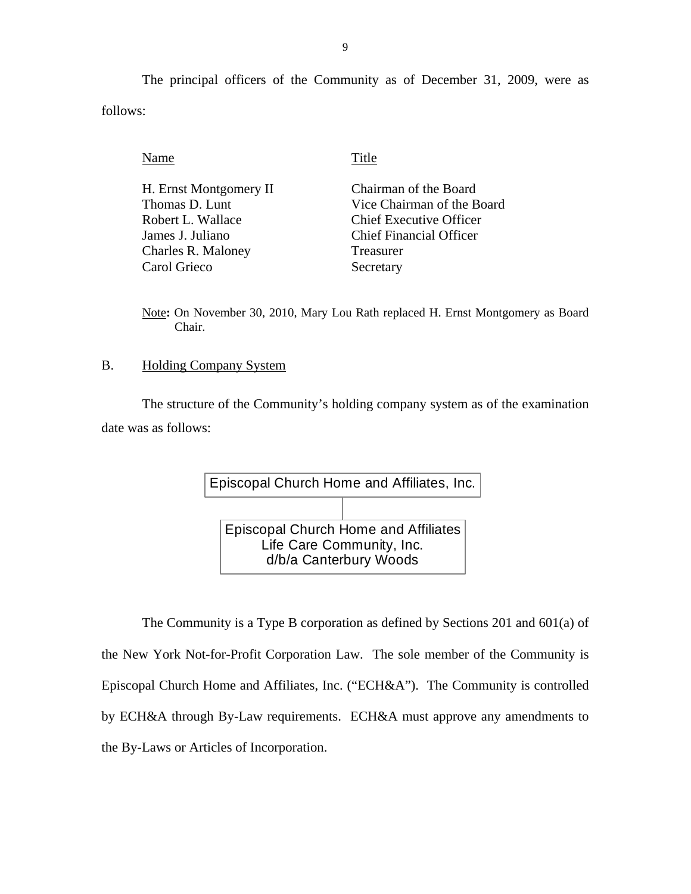The principal officers of the Community as of December 31, 2009, were as follows:

Name Title

H. Ernst Montgomery II Thomas D. Lunt Robert L. Wallace James J. Juliano Charles R. Maloney Carol Grieco

Chairman of the Board Vice Chairman of the Board Chief Executive Officer Chief Financial Officer Treasurer Secretary

Note**:** On November 30, 2010, Mary Lou Rath replaced H. Ernst Montgomery as Board Chair.

#### B. Holding Company System

The structure of the Community's holding company system as of the examination date was as follows:



The Community is a Type B corporation as defined by Sections 201 and 601(a) of the New York Not-for-Profit Corporation Law. The sole member of the Community is Episcopal Church Home and Affiliates, Inc. ("ECH&A"). The Community is controlled by ECH&A through By-Law requirements. ECH&A must approve any amendments to the By-Laws or Articles of Incorporation.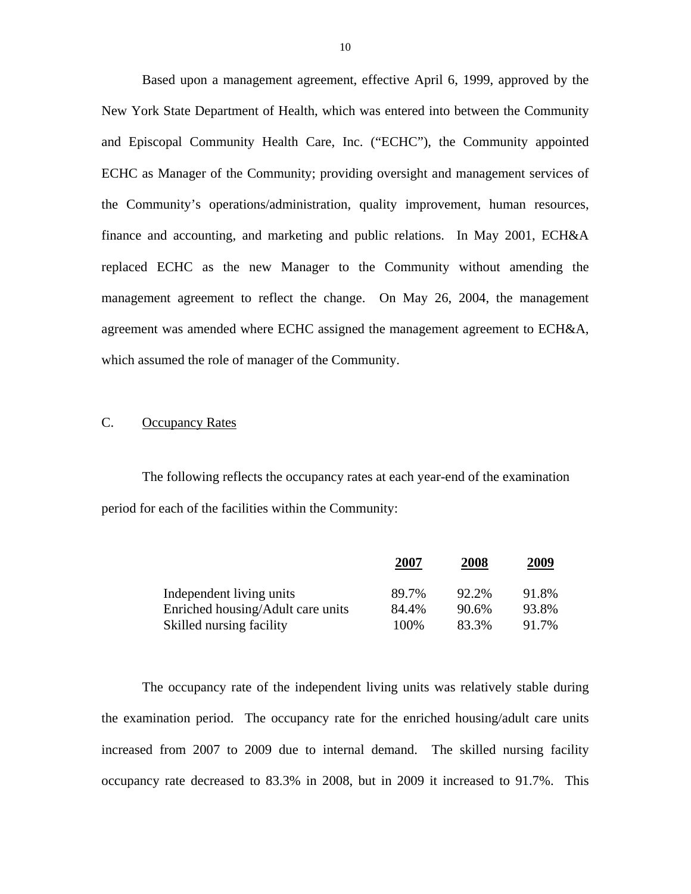Based upon a management agreement, effective April 6, 1999, approved by the New York State Department of Health, which was entered into between the Community and Episcopal Community Health Care, Inc. ("ECHC"), the Community appointed ECHC as Manager of the Community; providing oversight and management services of the Community's operations/administration, quality improvement, human resources, finance and accounting, and marketing and public relations. In May 2001, ECH&A replaced ECHC as the new Manager to the Community without amending the management agreement to reflect the change. On May 26, 2004, the management agreement was amended where ECHC assigned the management agreement to ECH&A, which assumed the role of manager of the Community.

### C. Occupancy Rates

The following reflects the occupancy rates at each year-end of the examination period for each of the facilities within the Community:

|                                   | 2007  | 2008  | 2009  |
|-----------------------------------|-------|-------|-------|
| Independent living units          | 89.7% | 92.2% | 91.8% |
| Enriched housing/Adult care units | 84.4% | 90.6% | 93.8% |
| Skilled nursing facility          | 100\% | 83.3% | 91.7% |

The occupancy rate of the independent living units was relatively stable during the examination period. The occupancy rate for the enriched housing/adult care units increased from 2007 to 2009 due to internal demand. The skilled nursing facility occupancy rate decreased to 83.3% in 2008, but in 2009 it increased to 91.7%. This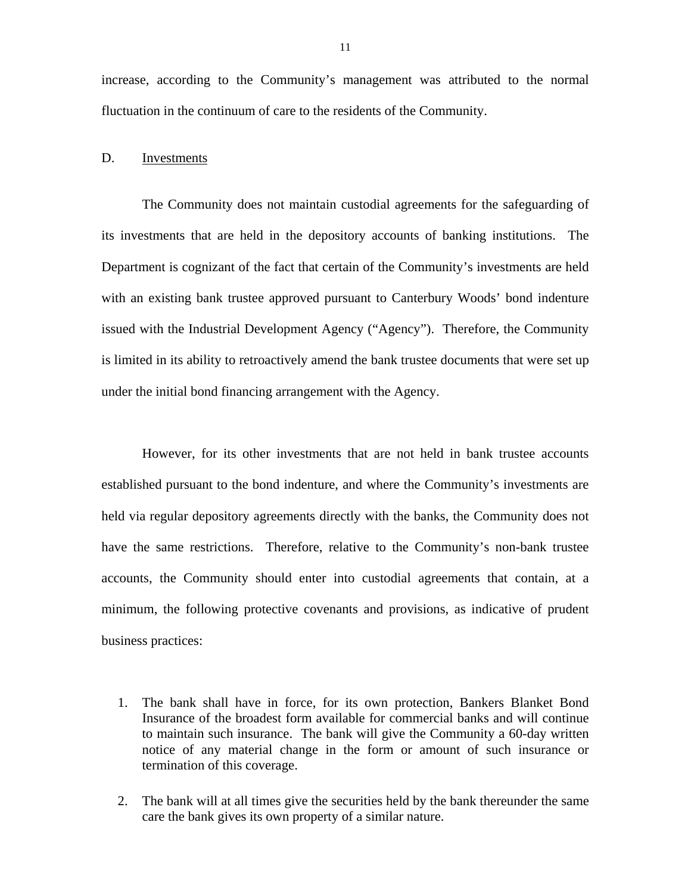increase, according to the Community's management was attributed to the normal fluctuation in the continuum of care to the residents of the Community.

#### D. Investments

The Community does not maintain custodial agreements for the safeguarding of its investments that are held in the depository accounts of banking institutions. The Department is cognizant of the fact that certain of the Community's investments are held with an existing bank trustee approved pursuant to Canterbury Woods' bond indenture issued with the Industrial Development Agency ("Agency"). Therefore, the Community is limited in its ability to retroactively amend the bank trustee documents that were set up under the initial bond financing arrangement with the Agency.

However, for its other investments that are not held in bank trustee accounts established pursuant to the bond indenture, and where the Community's investments are held via regular depository agreements directly with the banks, the Community does not have the same restrictions. Therefore, relative to the Community's non-bank trustee accounts, the Community should enter into custodial agreements that contain, at a minimum, the following protective covenants and provisions, as indicative of prudent business practices:

- 1. The bank shall have in force, for its own protection, Bankers Blanket Bond Insurance of the broadest form available for commercial banks and will continue to maintain such insurance. The bank will give the Community a 60-day written notice of any material change in the form or amount of such insurance or termination of this coverage.
- 2. The bank will at all times give the securities held by the bank thereunder the same care the bank gives its own property of a similar nature.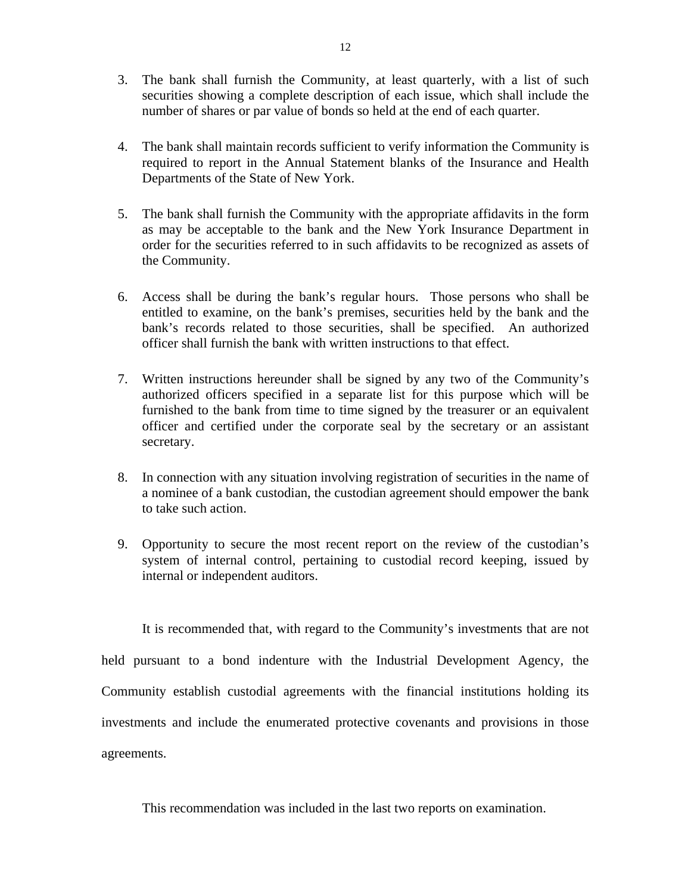- 3. The bank shall furnish the Community, at least quarterly, with a list of such securities showing a complete description of each issue, which shall include the number of shares or par value of bonds so held at the end of each quarter.
- 4. The bank shall maintain records sufficient to verify information the Community is required to report in the Annual Statement blanks of the Insurance and Health Departments of the State of New York.
- 5. The bank shall furnish the Community with the appropriate affidavits in the form as may be acceptable to the bank and the New York Insurance Department in order for the securities referred to in such affidavits to be recognized as assets of the Community.
- 6. Access shall be during the bank's regular hours. Those persons who shall be entitled to examine, on the bank's premises, securities held by the bank and the bank's records related to those securities, shall be specified. An authorized officer shall furnish the bank with written instructions to that effect.
- 7. Written instructions hereunder shall be signed by any two of the Community's authorized officers specified in a separate list for this purpose which will be furnished to the bank from time to time signed by the treasurer or an equivalent officer and certified under the corporate seal by the secretary or an assistant secretary.
- 8. In connection with any situation involving registration of securities in the name of a nominee of a bank custodian, the custodian agreement should empower the bank to take such action.
- 9. Opportunity to secure the most recent report on the review of the custodian's system of internal control, pertaining to custodial record keeping, issued by internal or independent auditors.

It is recommended that, with regard to the Community's investments that are not held pursuant to a bond indenture with the Industrial Development Agency, the Community establish custodial agreements with the financial institutions holding its investments and include the enumerated protective covenants and provisions in those agreements.

This recommendation was included in the last two reports on examination.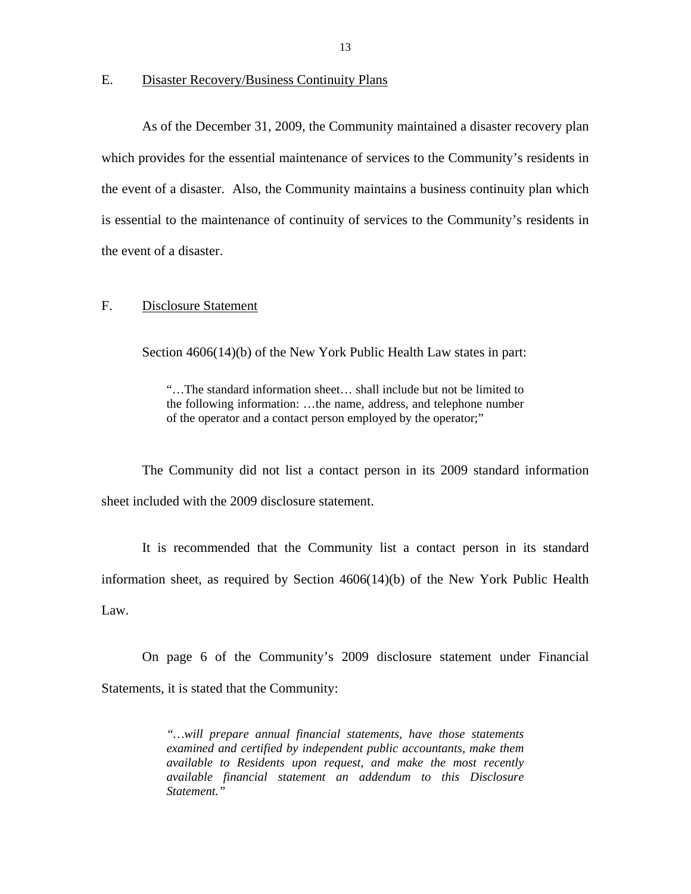E. Disaster Recovery/Business Continuity Plans

As of the December 31, 2009, the Community maintained a disaster recovery plan which provides for the essential maintenance of services to the Community's residents in the event of a disaster. Also, the Community maintains a business continuity plan which is essential to the maintenance of continuity of services to the Community's residents in the event of a disaster.

#### F. Disclosure Statement

Section 4606(14)(b) of the New York Public Health Law states in part:

"…The standard information sheet… shall include but not be limited to the following information: …the name, address, and telephone number of the operator and a contact person employed by the operator;"

The Community did not list a contact person in its 2009 standard information sheet included with the 2009 disclosure statement.

It is recommended that the Community list a contact person in its standard information sheet, as required by Section 4606(14)(b) of the New York Public Health Law.

On page 6 of the Community's 2009 disclosure statement under Financial Statements, it is stated that the Community:

> *"…will prepare annual financial statements, have those statements examined and certified by independent public accountants, make them available to Residents upon request, and make the most recently available financial statement an addendum to this Disclosure Statement."*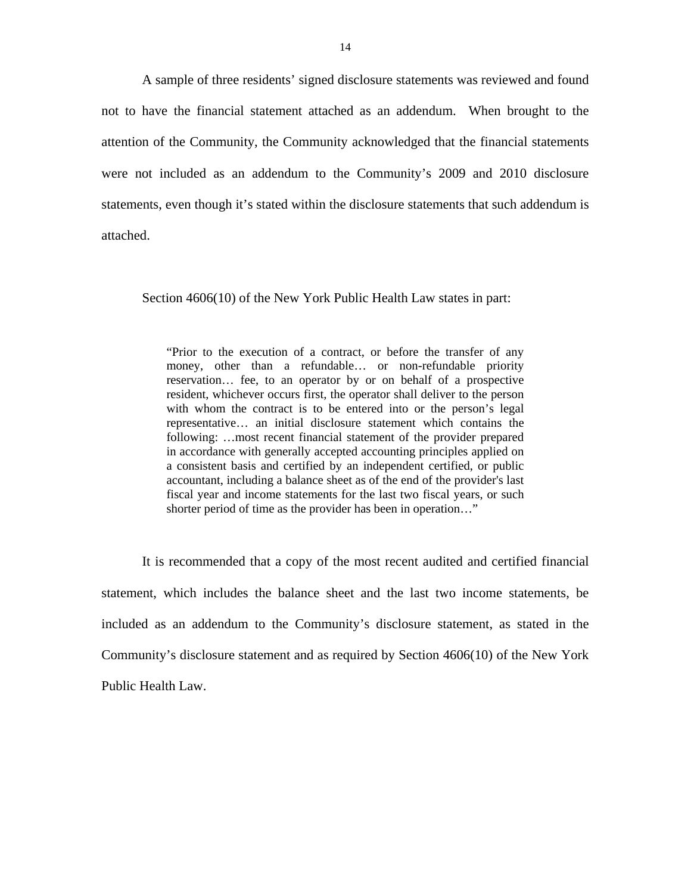A sample of three residents' signed disclosure statements was reviewed and found not to have the financial statement attached as an addendum. When brought to the attention of the Community, the Community acknowledged that the financial statements were not included as an addendum to the Community's 2009 and 2010 disclosure statements, even though it's stated within the disclosure statements that such addendum is attached.

Section 4606(10) of the New York Public Health Law states in part:

"Prior to the execution of a contract, or before the transfer of any money, other than a refundable… or non-refundable priority reservation… fee, to an operator by or on behalf of a prospective resident, whichever occurs first, the operator shall deliver to the person with whom the contract is to be entered into or the person's legal representative… an initial disclosure statement which contains the following: …most recent financial statement of the provider prepared in accordance with generally accepted accounting principles applied on a consistent basis and certified by an independent certified, or public accountant, including a balance sheet as of the end of the provider's last fiscal year and income statements for the last two fiscal years, or such shorter period of time as the provider has been in operation…"

It is recommended that a copy of the most recent audited and certified financial statement, which includes the balance sheet and the last two income statements, be included as an addendum to the Community's disclosure statement, as stated in the Community's disclosure statement and as required by Section 4606(10) of the New York Public Health Law.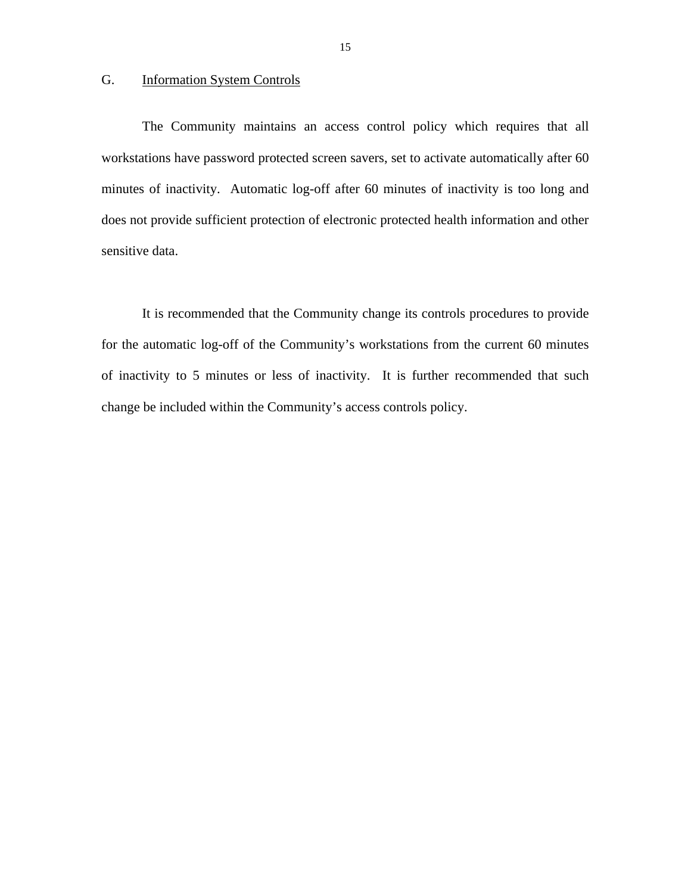### G. Information System Controls

The Community maintains an access control policy which requires that all workstations have password protected screen savers, set to activate automatically after 60 minutes of inactivity. Automatic log-off after 60 minutes of inactivity is too long and does not provide sufficient protection of electronic protected health information and other sensitive data.

It is recommended that the Community change its controls procedures to provide for the automatic log-off of the Community's workstations from the current 60 minutes of inactivity to 5 minutes or less of inactivity. It is further recommended that such change be included within the Community's access controls policy.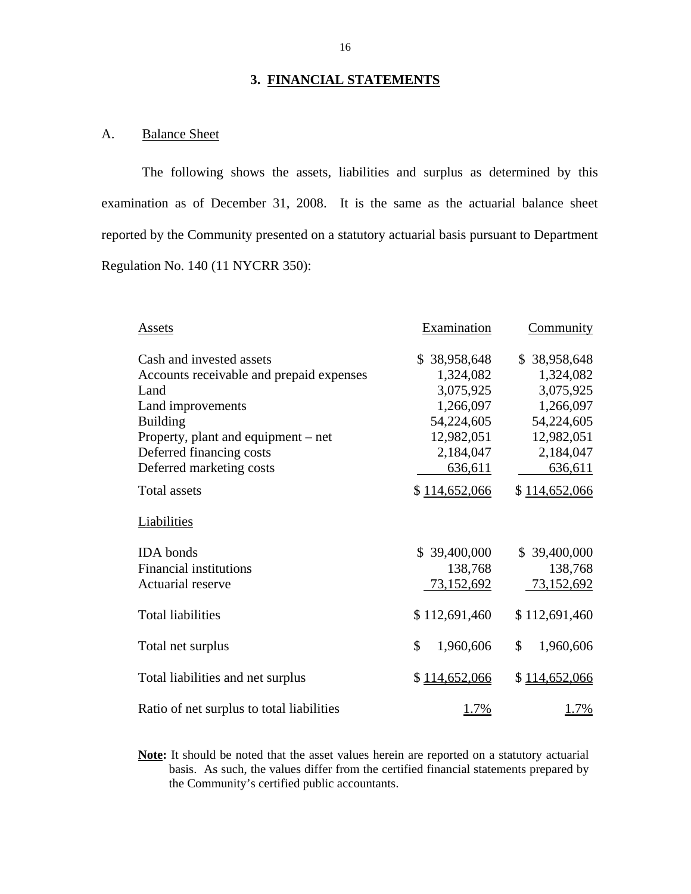### **3. FINANCIAL STATEMENTS**

## A. Balance Sheet

The following shows the assets, liabilities and surplus as determined by this examination as of December 31, 2008. It is the same as the actuarial balance sheet reported by the Community presented on a statutory actuarial basis pursuant to Department Regulation No. 140 (11 NYCRR 350):

| Assets                                                                                                                                                                                                                | Examination                                                                                             | <b>Community</b>                                                                                        |
|-----------------------------------------------------------------------------------------------------------------------------------------------------------------------------------------------------------------------|---------------------------------------------------------------------------------------------------------|---------------------------------------------------------------------------------------------------------|
| Cash and invested assets<br>Accounts receivable and prepaid expenses<br>Land<br>Land improvements<br><b>Building</b><br>Property, plant and equipment $-$ net<br>Deferred financing costs<br>Deferred marketing costs | \$38,958,648<br>1,324,082<br>3,075,925<br>1,266,097<br>54,224,605<br>12,982,051<br>2,184,047<br>636,611 | \$38,958,648<br>1,324,082<br>3,075,925<br>1,266,097<br>54,224,605<br>12,982,051<br>2,184,047<br>636,611 |
| <b>Total assets</b>                                                                                                                                                                                                   | \$114,652,066                                                                                           | \$114,652,066                                                                                           |
| Liabilities                                                                                                                                                                                                           |                                                                                                         |                                                                                                         |
| <b>IDA</b> bonds<br><b>Financial institutions</b><br>Actuarial reserve                                                                                                                                                | \$39,400,000<br>138,768<br>73,152,692                                                                   | \$39,400,000<br>138,768<br>73,152,692                                                                   |
| <b>Total liabilities</b>                                                                                                                                                                                              | \$112,691,460                                                                                           | \$112,691,460                                                                                           |
| Total net surplus                                                                                                                                                                                                     | \$<br>1,960,606                                                                                         | \$<br>1,960,606                                                                                         |
| Total liabilities and net surplus                                                                                                                                                                                     | \$114,652,066                                                                                           | \$114,652,066                                                                                           |
| Ratio of net surplus to total liabilities                                                                                                                                                                             | $.7\%$                                                                                                  | 1.7%                                                                                                    |

**Note:** It should be noted that the asset values herein are reported on a statutory actuarial basis. As such, the values differ from the certified financial statements prepared by the Community's certified public accountants.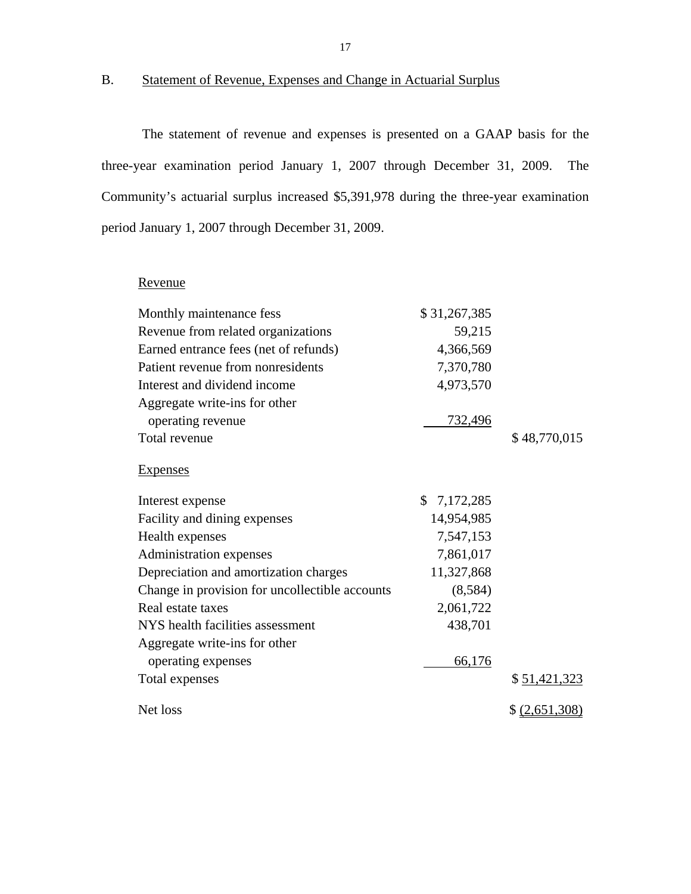## B. Statement of Revenue, Expenses and Change in Actuarial Surplus

The statement of revenue and expenses is presented on a GAAP basis for the three-year examination period January 1, 2007 through December 31, 2009. The Community's actuarial surplus increased \$5,391,978 during the three-year examination period January 1, 2007 through December 31, 2009.

| Revenue                                        |              |                |
|------------------------------------------------|--------------|----------------|
| Monthly maintenance fess                       | \$31,267,385 |                |
| Revenue from related organizations             | 59,215       |                |
| Earned entrance fees (net of refunds)          | 4,366,569    |                |
| Patient revenue from nonresidents              | 7,370,780    |                |
| Interest and dividend income                   | 4,973,570    |                |
| Aggregate write-ins for other                  |              |                |
| operating revenue                              | 732,496      |                |
| Total revenue                                  |              | \$48,770,015   |
| <b>Expenses</b>                                |              |                |
| Interest expense                               | \$7,172,285  |                |
| Facility and dining expenses                   | 14,954,985   |                |
| Health expenses                                | 7,547,153    |                |
| Administration expenses                        | 7,861,017    |                |
| Depreciation and amortization charges          | 11,327,868   |                |
| Change in provision for uncollectible accounts | (8,584)      |                |
| Real estate taxes                              | 2,061,722    |                |
| NYS health facilities assessment               | 438,701      |                |
| Aggregate write-ins for other                  |              |                |
| operating expenses                             | 66,176       |                |
| Total expenses                                 |              | \$51,421,323   |
| Net loss                                       |              | \$ (2,651,308) |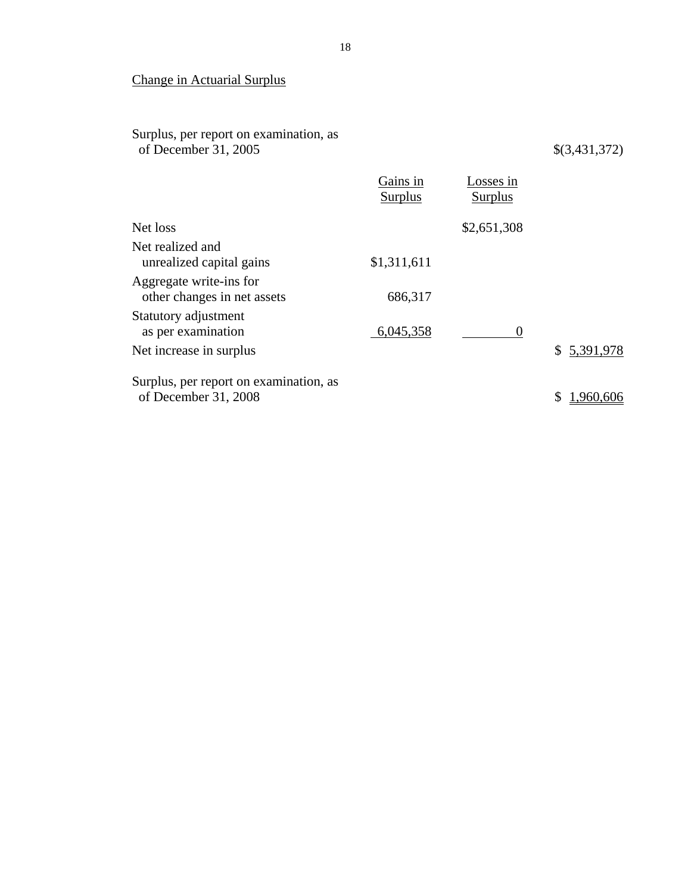## Change in Actuarial Surplus

Surplus, per report on examination, as of December 31, 2005 \$(3,431,372)

|                                                                | Gains in<br>Surplus | Losses in<br>Surplus |             |
|----------------------------------------------------------------|---------------------|----------------------|-------------|
| Net loss                                                       |                     | \$2,651,308          |             |
| Net realized and<br>unrealized capital gains                   | \$1,311,611         |                      |             |
| Aggregate write-ins for<br>other changes in net assets         | 686,317             |                      |             |
| Statutory adjustment<br>as per examination                     | 6,045,358           | $\theta$             |             |
| Net increase in surplus                                        |                     |                      | \$5,391,978 |
| Surplus, per report on examination, as<br>of December 31, 2008 |                     |                      |             |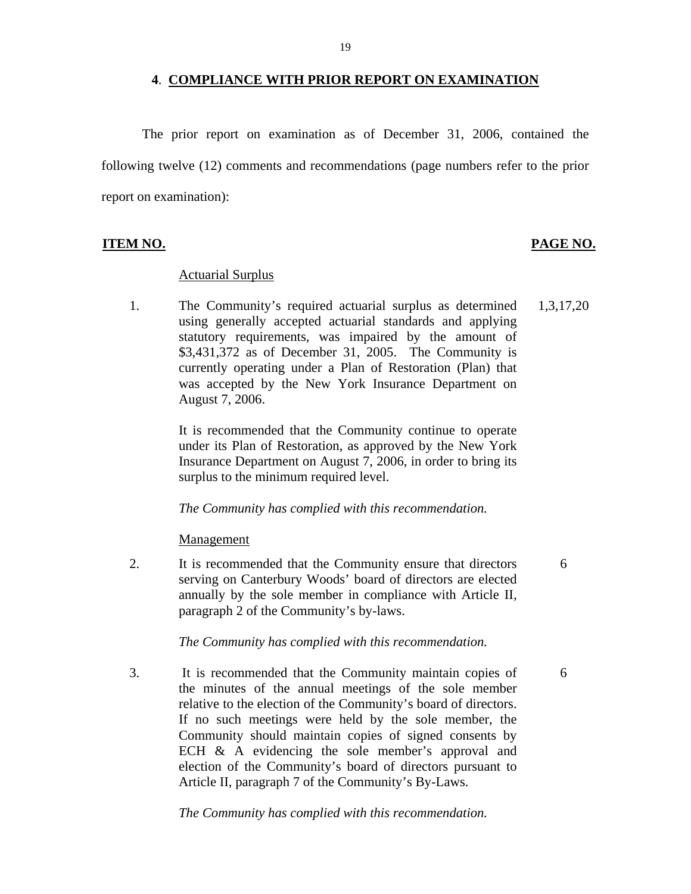#### **4**. **COMPLIANCE WITH PRIOR REPORT ON EXAMINATION**

The prior report on examination as of December 31, 2006, contained the following twelve (12) comments and recommendations (page numbers refer to the prior report on examination):

#### **ITEM NO. PAGE NO.**

#### **Actuarial Surplus**

1. The Community's required actuarial surplus as determined 1,3,17,20 using generally accepted actuarial standards and applying statutory requirements, was impaired by the amount of \$3,431,372 as of December 31, 2005. The Community is currently operating under a Plan of Restoration (Plan) that was accepted by the New York Insurance Department on August 7, 2006.

> It is recommended that the Community continue to operate under its Plan of Restoration, as approved by the New York Insurance Department on August 7, 2006, in order to bring its surplus to the minimum required level.

*The Community has complied with this recommendation.* 

Management

2. It is recommended that the Community ensure that directors 6 serving on Canterbury Woods' board of directors are elected annually by the sole member in compliance with Article II, paragraph 2 of the Community's by-laws.

*The Community has complied with this recommendation.* 

relative to the election of the Community's board of directors. 3. It is recommended that the Community maintain copies of 6 the minutes of the annual meetings of the sole member If no such meetings were held by the sole member, the Community should maintain copies of signed consents by ECH & A evidencing the sole member's approval and election of the Community's board of directors pursuant to Article II, paragraph 7 of the Community's By-Laws.

*The Community has complied with this recommendation.*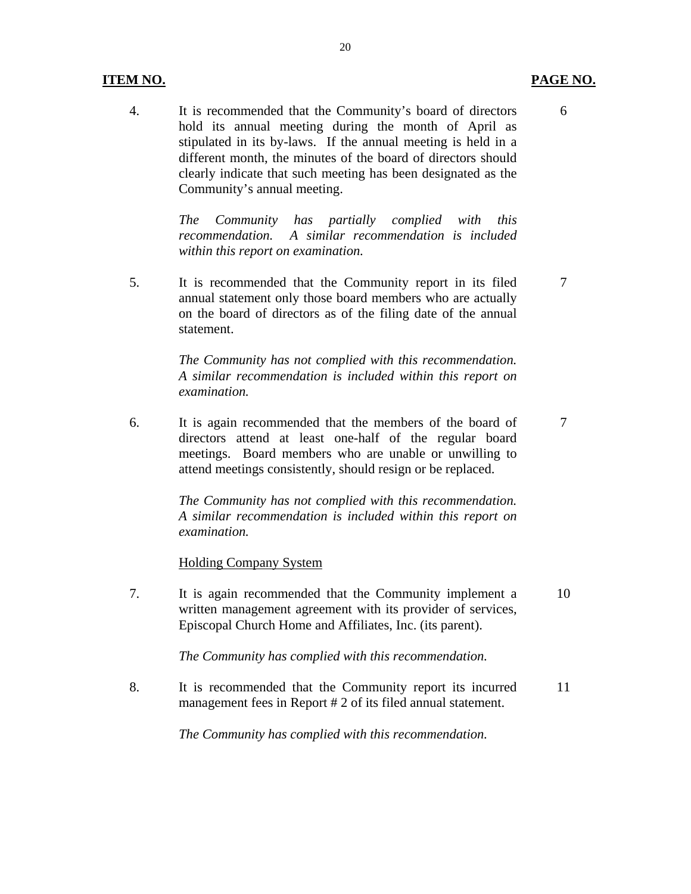### **ITEM NO. PAGE NO.**

4. It is recommended that the Community's board of directors 6 hold its annual meeting during the month of April as stipulated in its by-laws. If the annual meeting is held in a different month, the minutes of the board of directors should clearly indicate that such meeting has been designated as the Community's annual meeting.

> *The Community has partially complied with this recommendation. A similar recommendation is included within this report on examination.*

5. It is recommended that the Community report in its filed 7 annual statement only those board members who are actually on the board of directors as of the filing date of the annual statement.

> *The Community has not complied with this recommendation. A similar recommendation is included within this report on examination.*

6. It is again recommended that the members of the board of 7 directors attend at least one-half of the regular board meetings. Board members who are unable or unwilling to attend meetings consistently, should resign or be replaced.

> *The Community has not complied with this recommendation. A similar recommendation is included within this report on examination.*

#### **Holding Company System**

7. It is again recommended that the Community implement a 10 written management agreement with its provider of services, Episcopal Church Home and Affiliates, Inc. (its parent).

*The Community has complied with this recommendation.* 

8. It is recommended that the Community report its incurred 11 management fees in Report # 2 of its filed annual statement.

*The Community has complied with this recommendation.*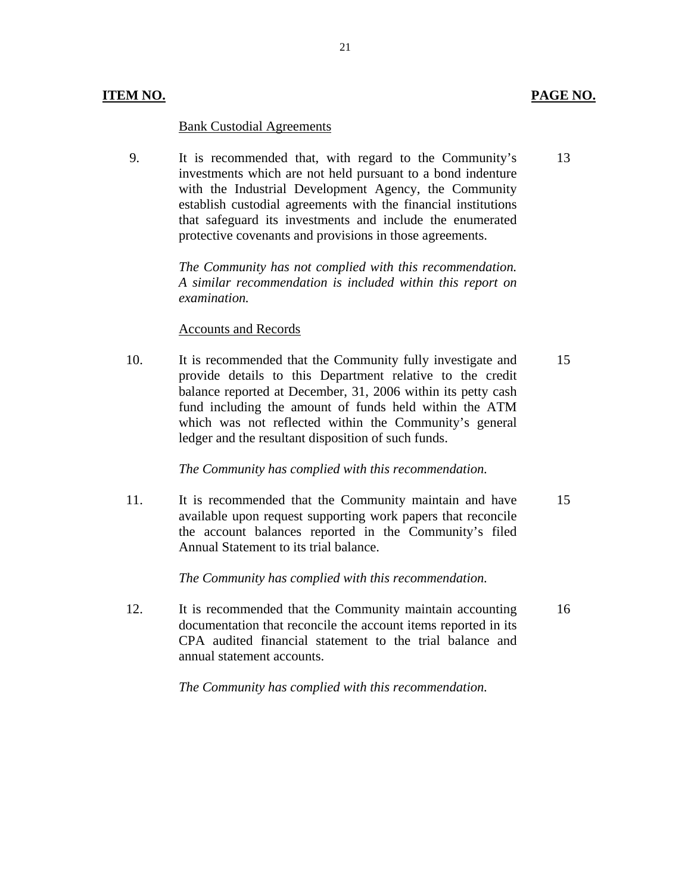#### **ITEM NO. PAGE NO.**

#### **Bank Custodial Agreements**

9. It is recommended that, with regard to the Community's 13 investments which are not held pursuant to a bond indenture with the Industrial Development Agency, the Community establish custodial agreements with the financial institutions that safeguard its investments and include the enumerated protective covenants and provisions in those agreements.

21

*The Community has not complied with this recommendation. A similar recommendation is included within this report on examination.* 

#### **Accounts and Records**

10. It is recommended that the Community fully investigate and 15 provide details to this Department relative to the credit balance reported at December, 31, 2006 within its petty cash fund including the amount of funds held within the ATM which was not reflected within the Community's general ledger and the resultant disposition of such funds.

#### *The Community has complied with this recommendation.*

11. It is recommended that the Community maintain and have 15 available upon request supporting work papers that reconcile the account balances reported in the Community's filed Annual Statement to its trial balance.

*The Community has complied with this recommendation.* 

12. It is recommended that the Community maintain accounting 16 documentation that reconcile the account items reported in its CPA audited financial statement to the trial balance and annual statement accounts.

*The Community has complied with this recommendation.*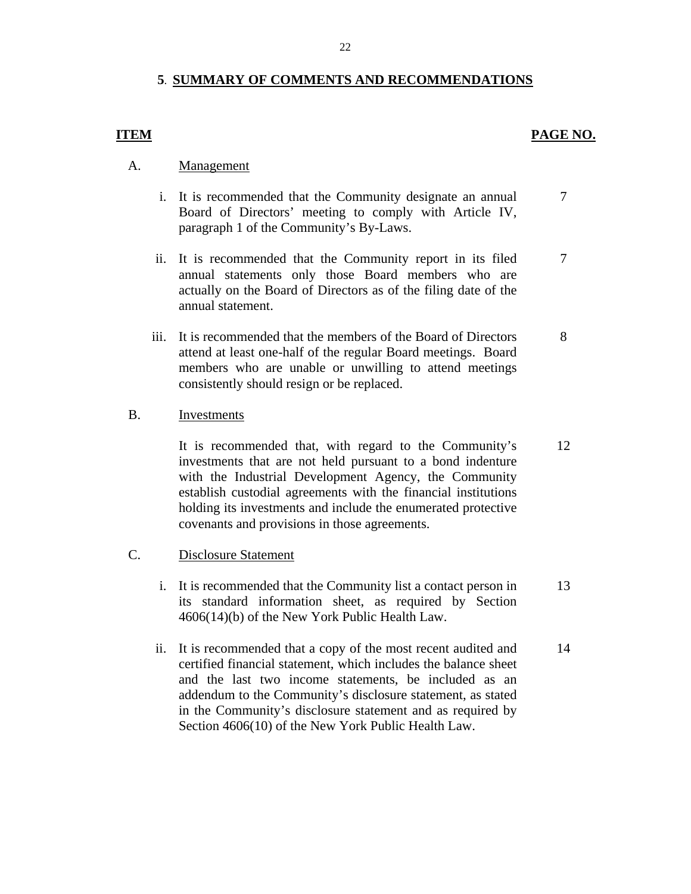#### **5**. **SUMMARY OF COMMENTS AND RECOMMENDATIONS**

#### **ITEM** PAGE NO.

7

- Management
- A. <u>Management</u><br>i. It is recommended that the Community designate an annual Board of Directors' meeting to comply with Article IV, paragraph 1 of the Community's By-Laws. 7
	- ii. It is recommended that the Community report in its filed annual statements only those Board members who are actually on the Board of Directors as of the filing date of the annual statement.
	- iii. It is recommended that the members of the Board of Directors attend at least one-half of the regular Board meetings. Board members who are unable or unwilling to attend meetings consistently should resign or be replaced. 8

#### Investments

B. Investments<br>It is recommended that, with regard to the Community's investments that are not held pursuant to a bond indenture with the Industrial Development Agency, the Community establish custodial agreements with the financial institutions holding its investments and include the enumerated protective covenants and provisions in those agreements. 12

#### **Disclosure Statement**

- C. Disclosure Statement<br>i. It is recommended that the Community list a contact person in its standard information sheet, as required by Section 4606(14)(b) of the New York Public Health Law. 13
	- ii. It is recommended that a copy of the most recent audited and certified financial statement, which includes the balance sheet and the last two income statements, be included as an addendum to the Community's disclosure statement, as stated in the Community's disclosure statement and as required by Section 4606(10) of the New York Public Health Law. 14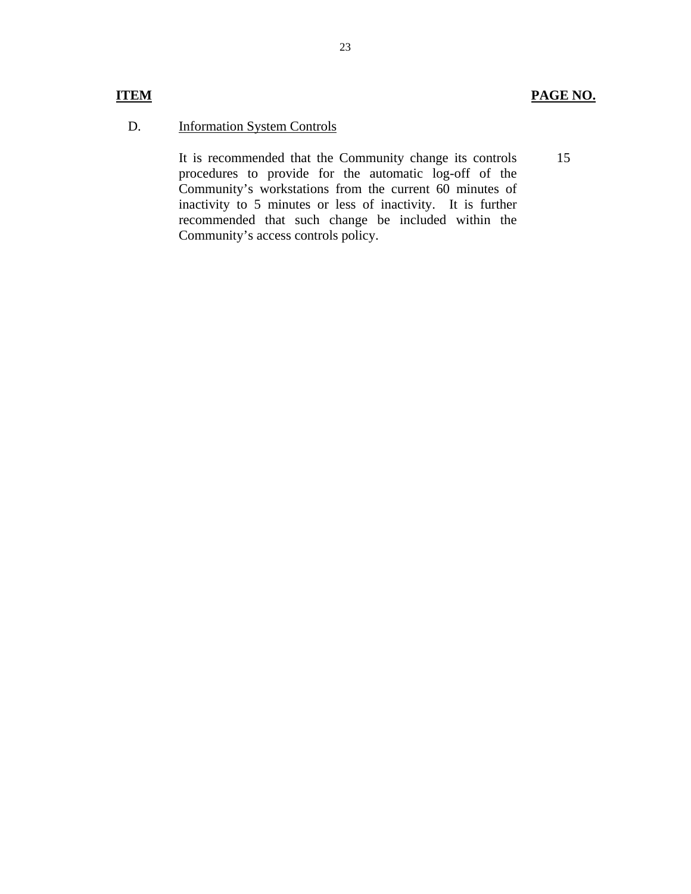## **ITEM PAGE NO.**

15

## **Information System Controls**

D. Information System Controls<br>It is recommended that the Community change its controls procedures to provide for the automatic log-off of the Community's workstations from the current 60 minutes of inactivity to 5 minutes or less of inactivity. It is further recommended that such change be included within the Community's access controls policy.